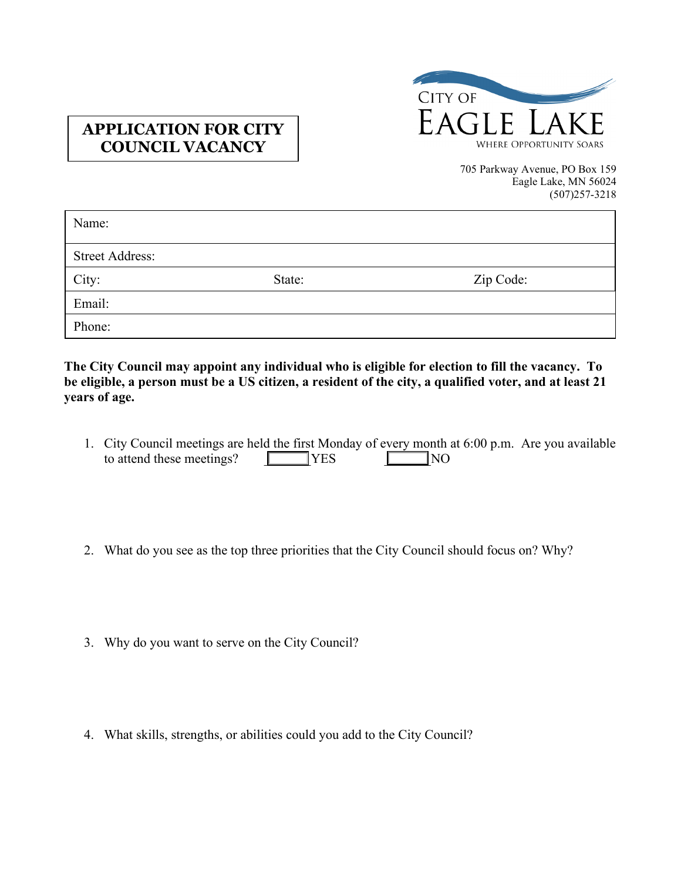

## **APPLICATION FOR CITY COUNCIL VACANCY**

705 Parkway Avenue, PO Box 159 Eagle Lake, MN 56024 (507)257-3218

| Name:                  |        |           |
|------------------------|--------|-----------|
| <b>Street Address:</b> |        |           |
| City:                  | State: | Zip Code: |
| Email:                 |        |           |
| Phone:                 |        |           |

**The City Council may appoint any individual who is eligible for election to fill the vacancy. To be eligible, a person must be a US citizen, a resident of the city, a qualified voter, and at least 21 years of age.** 

- TYES NO 1. City Council meetings are held the first Monday of every month at 6:00 p.m. Are you available to attend these meetings?  $\Box$
- 2. What do you see as the top three priorities that the City Council should focus on? Why?
- 3. Why do you want to serve on the City Council?
- 4. What skills, strengths, or abilities could you add to the City Council?